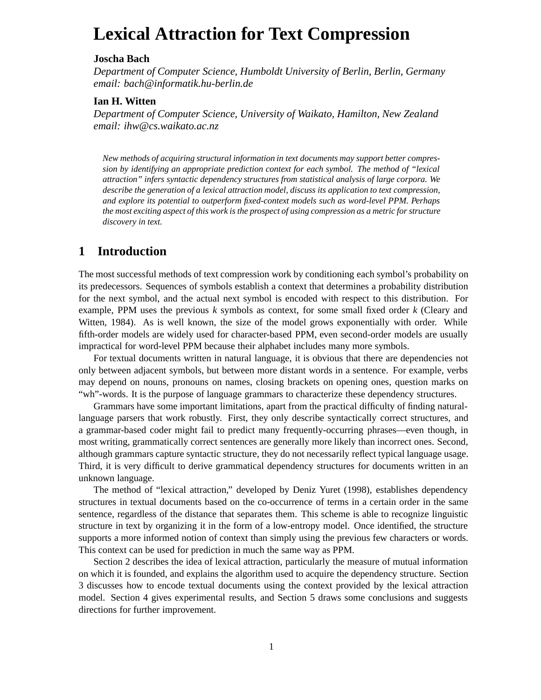# **Lexical Attraction for Text Compression**

#### **Joscha Bach**

*Department of Computer Science, Humboldt University of Berlin, Berlin, Germany email: bach@informatik.hu-berlin.de*

### **Ian H. Witten**

*Department of Computer Science, University of Waikato, Hamilton, New Zealand email: ihw@cs.waikato.ac.nz*

*New methods of acquiring structural information in text documents may support better compression by identifying an appropriate prediction context for each symbol. The method of "lexical attraction" infers syntactic dependency structures from statistical analysis of large corpora. We describe the generation of a lexical attraction model, discuss its application to text compression, and explore its potential to outperform fixed-context models such as word-level PPM. Perhaps the most exciting aspect of this work is the prospect of using compression as a metric for structure discovery in text.*

# **1 Introduction**

The most successful methods of text compression work by conditioning each symbol's probability on its predecessors. Sequences of symbols establish a context that determines a probability distribution for the next symbol, and the actual next symbol is encoded with respect to this distribution. For example, PPM uses the previous *k* symbols as context, for some small fixed order *k* (Cleary and Witten, 1984). As is well known, the size of the model grows exponentially with order. While fifth-order models are widely used for character-based PPM, even second-order models are usually impractical for word-level PPM because their alphabet includes many more symbols.

For textual documents written in natural language, it is obvious that there are dependencies not only between adjacent symbols, but between more distant words in a sentence. For example, verbs may depend on nouns, pronouns on names, closing brackets on opening ones, question marks on "wh"-words. It is the purpose of language grammars to characterize these dependency structures.

Grammars have some important limitations, apart from the practical difficulty of finding naturallanguage parsers that work robustly. First, they only describe syntactically correct structures, and a grammar-based coder might fail to predict many frequently-occurring phrases—even though, in most writing, grammatically correct sentences are generally more likely than incorrect ones. Second, although grammars capture syntactic structure, they do not necessarily reflect typical language usage. Third, it is very difficult to derive grammatical dependency structures for documents written in an unknown language.

The method of "lexical attraction," developed by Deniz Yuret (1998), establishes dependency structures in textual documents based on the co-occurrence of terms in a certain order in the same sentence, regardless of the distance that separates them. This scheme is able to recognize linguistic structure in text by organizing it in the form of a low-entropy model. Once identified, the structure supports a more informed notion of context than simply using the previous few characters or words. This context can be used for prediction in much the same way as PPM.

Section 2 describes the idea of lexical attraction, particularly the measure of mutual information on which it is founded, and explains the algorithm used to acquire the dependency structure. Section 3 discusses how to encode textual documents using the context provided by the lexical attraction model. Section 4 gives experimental results, and Section 5 draws some conclusions and suggests directions for further improvement.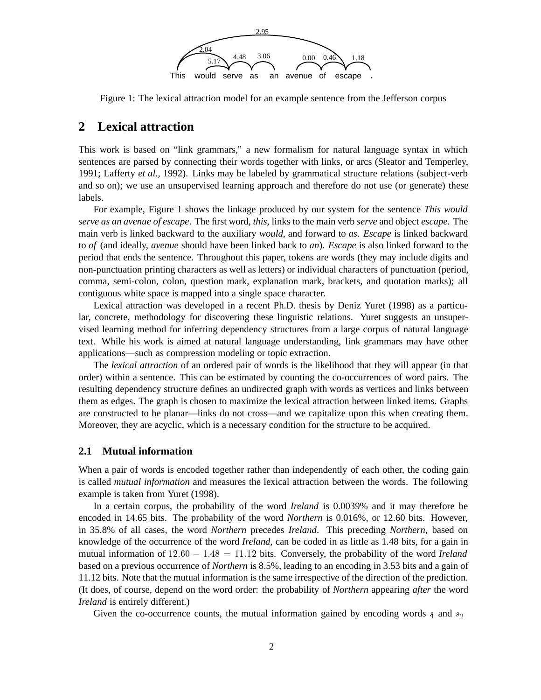

Figure 1: The lexical attraction model for an example sentence from the Jefferson corpus

# **2 Lexical attraction**

This work is based on "link grammars," a new formalism for natural language syntax in which sentences are parsed by connecting their words together with links, or arcs (Sleator and Temperley, 1991; Lafferty *et al*., 1992). Links may be labeled by grammatical structure relations (subject-verb and so on); we use an unsupervised learning approach and therefore do not use (or generate) these labels.

For example, Figure 1 shows the linkage produced by our system for the sentence *This would serve as an avenue of escape*. The first word, *this*, links to the main verb *serve* and object *escape*. The main verb is linked backward to the auxiliary *would*, and forward to *as*. *Escape* is linked backward to *of* (and ideally, *avenue* should have been linked back to *an*). *Escape* is also linked forward to the period that ends the sentence. Throughout this paper, tokens are words (they may include digits and non-punctuation printing characters as well as letters) or individual characters of punctuation (period, comma, semi-colon, colon, question mark, explanation mark, brackets, and quotation marks); all contiguous white space is mapped into a single space character.

Lexical attraction was developed in a recent Ph.D. thesis by Deniz Yuret (1998) as a particular, concrete, methodology for discovering these linguistic relations. Yuret suggests an unsupervised learning method for inferring dependency structures from a large corpus of natural language text. While his work is aimed at natural language understanding, link grammars may have other applications—such as compression modeling or topic extraction.

The *lexical attraction* of an ordered pair of words is the likelihood that they will appear (in that order) within a sentence. This can be estimated by counting the co-occurrences of word pairs. The resulting dependency structure defines an undirected graph with words as vertices and links between them as edges. The graph is chosen to maximize the lexical attraction between linked items. Graphs are constructed to be planar—links do not cross—and we capitalize upon this when creating them. Moreover, they are acyclic, which is a necessary condition for the structure to be acquired.

#### **2.1 Mutual information**

When a pair of words is encoded together rather than independently of each other, the coding gain is called *mutual information* and measures the lexical attraction between the words. The following example is taken from Yuret (1998).

In a certain corpus, the probability of the word *Ireland* is 0.0039% and it may therefore be encoded in 14.65 bits. The probability of the word *Northern* is 0.016%, or 12.60 bits. However, in 35.8% of all cases, the word *Northern* precedes *Ireland*. This preceding *Northern*, based on knowledge of the occurrence of the word *Ireland,* can be coded in as little as 1.48 bits, for a gain in mutual information of  $12.60 - 1.48 = 11.12$  bits. Conversely, the probability of the word *Ireland* based on a previous occurrence of *Northern* is 8.5%, leading to an encoding in 3.53 bits and a gain of 11.12 bits. Note that the mutual information is the same irrespective of the direction of the prediction. (It does, of course, depend on the word order: the probability of *Northern* appearing *after* the word *Ireland* is entirely different.)

Given the co-occurrence counts, the mutual information gained by encoding words  $\frac{1}{3}$  and  $\frac{1}{3}$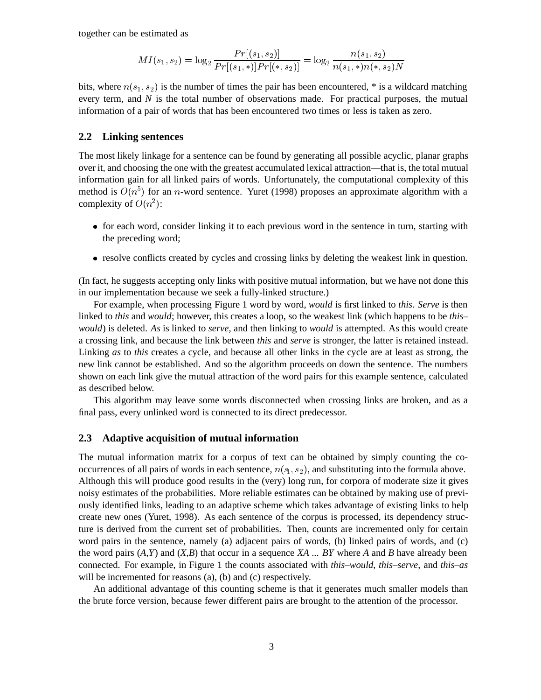together can be estimated as

$$
MI(s_1,s_2) = \log_2 \frac{Pr[(s_1,s_2)]}{Pr[(s_1,*)]Pr[(*,s_2)]} = \log_2 \frac{n(s_1,s_2)}{n(s_1,*)n(*,s_2)N}
$$

bits, where  $n(s_1, s_2)$  is the number of times the pair has been encountered, \* is a wildcard matching every term, and *N* is the total number of observations made. For practical purposes, the mutual information of a pair of words that has been encountered two times or less is taken as zero.

#### **2.2 Linking sentences**

The most likely linkage for a sentence can be found by generating all possible acyclic, planar graphs over it, and choosing the one with the greatest accumulated lexical attraction—that is, the total mutual information gain for all linked pairs of words. Unfortunately, the computational complexity of this method is  $O(n^5)$  for an *n*-word sentence. Yuret (1998) proposes an approximate algorithm with a complexity of  $O(n^2)$ :

- for each word, consider linking it to each previous word in the sentence in turn, starting with the preceding word;
- resolve conflicts created by cycles and crossing links by deleting the weakest link in question.

(In fact, he suggests accepting only links with positive mutual information, but we have not done this in our implementation because we seek a fully-linked structure.)

For example, when processing Figure 1 word by word, *would* is first linked to *this*. *Serve* is then linked to *this* and *would*; however, this creates a loop, so the weakest link (which happens to be *this– would*) is deleted. *As* is linked to *serve*, and then linking to *would* is attempted. As this would create a crossing link, and because the link between *this* and *serve* is stronger, the latter is retained instead. Linking *as* to *this* creates a cycle, and because all other links in the cycle are at least as strong, the new link cannot be established. And so the algorithm proceeds on down the sentence. The numbers shown on each link give the mutual attraction of the word pairs for this example sentence, calculated as described below.

This algorithm may leave some words disconnected when crossing links are broken, and as a final pass, every unlinked word is connected to its direct predecessor.

#### **2.3 Adaptive acquisition of mutual information**

The mutual information matrix for a corpus of text can be obtained by simply counting the cooccurrences of all pairs of words in each sentence,  $n(s_1, s_2)$ , and substituting into the formula above. Although this will produce good results in the (very) long run, for corpora of moderate size it gives noisy estimates of the probabilities. More reliable estimates can be obtained by making use of previously identified links, leading to an adaptive scheme which takes advantage of existing links to help create new ones (Yuret, 1998). As each sentence of the corpus is processed, its dependency structure is derived from the current set of probabilities. Then, counts are incremented only for certain word pairs in the sentence, namely (a) adjacent pairs of words, (b) linked pairs of words, and (c) the word pairs (*A*,*Y*) and (*X*,*B*) that occur in a sequence *XA* ... *BY* where *A* and *B* have already been connected. For example, in Figure 1 the counts associated with *this–would*, *this–serve*, and *this–as* will be incremented for reasons (a), (b) and (c) respectively.

An additional advantage of this counting scheme is that it generates much smaller models than the brute force version, because fewer different pairs are brought to the attention of the processor.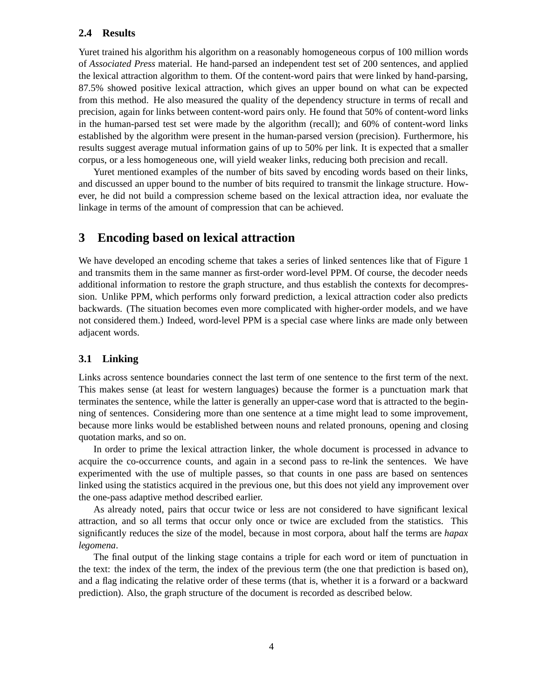#### **2.4 Results**

Yuret trained his algorithm his algorithm on a reasonably homogeneous corpus of 100 million words of *Associated Press* material. He hand-parsed an independent test set of 200 sentences, and applied the lexical attraction algorithm to them. Of the content-word pairs that were linked by hand-parsing, 87.5% showed positive lexical attraction, which gives an upper bound on what can be expected from this method. He also measured the quality of the dependency structure in terms of recall and precision, again for links between content-word pairs only. He found that 50% of content-word links in the human-parsed test set were made by the algorithm (recall); and 60% of content-word links established by the algorithm were present in the human-parsed version (precision). Furthermore, his results suggest average mutual information gains of up to 50% per link. It is expected that a smaller corpus, or a less homogeneous one, will yield weaker links, reducing both precision and recall.

Yuret mentioned examples of the number of bits saved by encoding words based on their links, and discussed an upper bound to the number of bits required to transmit the linkage structure. However, he did not build a compression scheme based on the lexical attraction idea, nor evaluate the linkage in terms of the amount of compression that can be achieved.

# **3 Encoding based on lexical attraction**

We have developed an encoding scheme that takes a series of linked sentences like that of Figure 1 and transmits them in the same manner as first-order word-level PPM. Of course, the decoder needs additional information to restore the graph structure, and thus establish the contexts for decompression. Unlike PPM, which performs only forward prediction, a lexical attraction coder also predicts backwards. (The situation becomes even more complicated with higher-order models, and we have not considered them.) Indeed, word-level PPM is a special case where links are made only between adjacent words.

### **3.1 Linking**

Links across sentence boundaries connect the last term of one sentence to the first term of the next. This makes sense (at least for western languages) because the former is a punctuation mark that terminates the sentence, while the latter is generally an upper-case word that is attracted to the beginning of sentences. Considering more than one sentence at a time might lead to some improvement, because more links would be established between nouns and related pronouns, opening and closing quotation marks, and so on.

In order to prime the lexical attraction linker, the whole document is processed in advance to acquire the co-occurrence counts, and again in a second pass to re-link the sentences. We have experimented with the use of multiple passes, so that counts in one pass are based on sentences linked using the statistics acquired in the previous one, but this does not yield any improvement over the one-pass adaptive method described earlier.

As already noted, pairs that occur twice or less are not considered to have significant lexical attraction, and so all terms that occur only once or twice are excluded from the statistics. This significantly reduces the size of the model, because in most corpora, about half the terms are *hapax legomena*.

The final output of the linking stage contains a triple for each word or item of punctuation in the text: the index of the term, the index of the previous term (the one that prediction is based on), and a flag indicating the relative order of these terms (that is, whether it is a forward or a backward prediction). Also, the graph structure of the document is recorded as described below.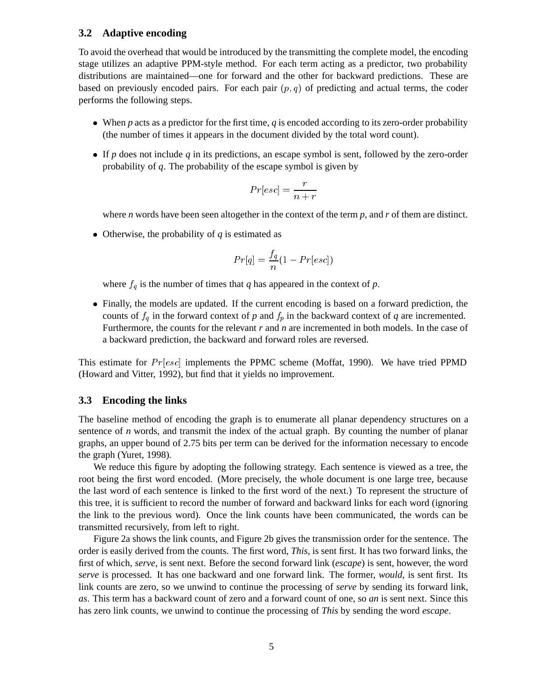#### **3.2 Adaptive encoding**

To avoid the overhead that would be introduced by the transmitting the complete model, the encoding stage utilizes an adaptive PPM-style method. For each term acting as a predictor, two probability distributions are maintained—one for forward and the other for backward predictions. These are based on previously encoded pairs. For each pair  $(p, q)$  of predicting and actual terms, the coder performs the following steps.

- When *p* acts as a predictor for the first time, *q* is encoded according to its zero-order probability (the number of times it appears in the document divided by the total word count).
- If *p* does not include *q* in its predictions, an escape symbol is sent, followed by the zero-order probability of *q*. The probability of the escape symbol is given by

$$
Pr[esc] = \frac{r}{n+r}
$$

where *n* words have been seen altogether in the context of the term  $p$ , and  $r$  of them are distinct.

• Otherwise, the probability of  $q$  is estimated as

$$
Pr[q] = \frac{f_q}{n}(1-Pr[esc])
$$

where  $f_q$  is the number of times that  $q$  has appeared in the context of  $p$ .

 Finally, the models are updated. If the current encoding is based on a forward prediction, the counts of  $f_q$  in the forward context of *p* and  $f_p$  in the backward context of *q* are incremented. Furthermore, the counts for the relevant *r* and *n* are incremented in both models. In the case of a backward prediction, the backward and forward roles are reversed.

This estimate for  $Pr[esc]$  implements the PPMC scheme (Moffat, 1990). We have tried PPMD (Howard and Vitter, 1992), but find that it yields no improvement.

#### **3.3 Encoding the links**

The baseline method of encoding the graph is to enumerate all planar dependency structures on a sentence of *n* words, and transmit the index of the actual graph. By counting the number of planar graphs, an upper bound of 2.75 bits per term can be derived for the information necessary to encode the graph (Yuret, 1998).

We reduce this figure by adopting the following strategy. Each sentence is viewed as a tree, the root being the first word encoded. (More precisely, the whole document is one large tree, because the last word of each sentence is linked to the first word of the next.) To represent the structure of this tree, it is sufficient to record the number of forward and backward links for each word (ignoring the link to the previous word). Once the link counts have been communicated, the words can be transmitted recursively, from left to right.

Figure 2a shows the link counts, and Figure 2b gives the transmission order for the sentence. The order is easily derived from the counts. The first word, *This*, is sent first. It has two forward links, the first of which, *serve*, is sent next. Before the second forward link (*escape*) is sent, however, the word *serve* is processed. It has one backward and one forward link. The former, *would*, is sent first. Its link counts are zero, so we unwind to continue the processing of *serve* by sending its forward link, *as*. This term has a backward count of zero and a forward count of one, so *an* is sent next. Since this has zero link counts, we unwind to continue the processing of *This* by sending the word *escape*.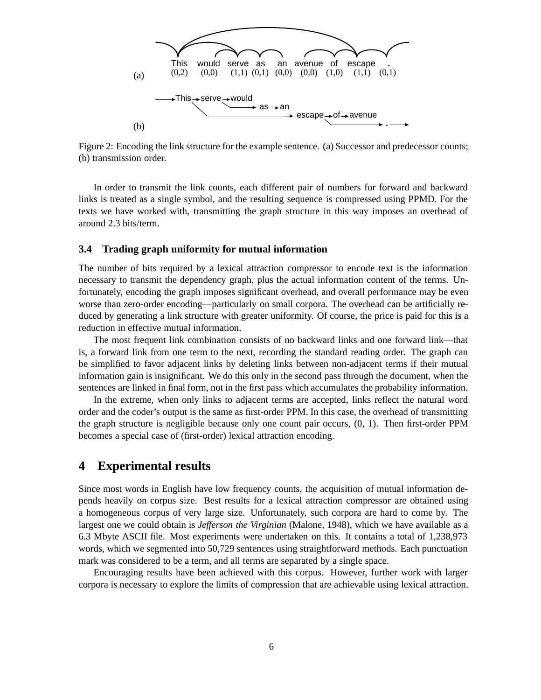

Figure 2: Encoding the link structure for the example sentence. (a) Successor and predecessor counts; (b) transmission order.

In order to transmit the link counts, each different pair of numbers for forward and backward links is treated as a single symbol, and the resulting sequence is compressed using PPMD. For the texts we have worked with, transmitting the graph structure in this way imposes an overhead of around 2.3 bits/term.

#### **3.4 Trading graph uniformity for mutual information**

The number of bits required by a lexical attraction compressor to encode text is the information necessary to transmit the dependency graph, plus the actual information content of the terms. Unfortunately, encoding the graph imposes significant overhead, and overall performance may be even worse than zero-order encoding—particularly on small corpora. The overhead can be artificially reduced by generating a link structure with greater uniformity. Of course, the price is paid for this is a reduction in effective mutual information.

The most frequent link combination consists of no backward links and one forward link—that is, a forward link from one term to the next, recording the standard reading order. The graph can be simplified to favor adjacent links by deleting links between non-adjacent terms if their mutual information gain is insignificant. We do this only in the second pass through the document, when the sentences are linked in final form, not in the first pass which accumulates the probability information.

In the extreme, when only links to adjacent terms are accepted, links reflect the natural word order and the coder's output is the same as first-order PPM. In this case, the overhead of transmitting the graph structure is negligible because only one count pair occurs, (0, 1). Then first-order PPM becomes a special case of (first-order) lexical attraction encoding.

## **4 Experimental results**

Since most words in English have low frequency counts, the acquisition of mutual information depends heavily on corpus size. Best results for a lexical attraction compressor are obtained using a homogeneous corpus of very large size. Unfortunately, such corpora are hard to come by. The largest one we could obtain is *Jefferson the Virginian* (Malone, 1948), which we have available as a 6.3 Mbyte ASCII file. Most experiments were undertaken on this. It contains a total of 1,238,973 words, which we segmented into 50,729 sentences using straightforward methods. Each punctuation mark was considered to be a term, and all terms are separated by a single space.

Encouraging results have been achieved with this corpus. However, further work with larger corpora is necessary to explore the limits of compression that are achievable using lexical attraction.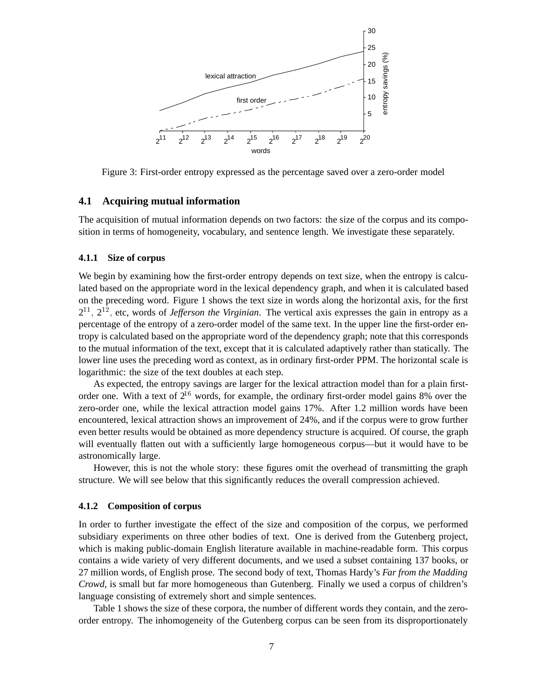

Figure 3: First-order entropy expressed as the percentage saved over a zero-order model

#### **4.1 Acquiring mutual information**

The acquisition of mutual information depends on two factors: the size of the corpus and its composition in terms of homogeneity, vocabulary, and sentence length. We investigate these separately.

#### **4.1.1 Size of corpus**

We begin by examining how the first-order entropy depends on text size, when the entropy is calculated based on the appropriate word in the lexical dependency graph, and when it is calculated based on the preceding word. Figure 1 shows the text size in words along the horizontal axis, for the first  $2^{11}$ ,  $2^{12}$ , etc, words of *Jefferson the Virginian*. The vertical axis expresses the gain in entropy as a percentage of the entropy of a zero-order model of the same text. In the upper line the first-order entropy is calculated based on the appropriate word of the dependency graph; note that this corresponds to the mutual information of the text, except that it is calculated adaptively rather than statically. The lower line uses the preceding word as context, as in ordinary first-order PPM. The horizontal scale is logarithmic: the size of the text doubles at each step.

As expected, the entropy savings are larger for the lexical attraction model than for a plain firstorder one. With a text of  $2^{16}$  words, for example, the ordinary first-order model gains 8% over the zero-order one, while the lexical attraction model gains 17%. After 1.2 million words have been encountered, lexical attraction shows an improvement of 24%, and if the corpus were to grow further even better results would be obtained as more dependency structure is acquired. Of course, the graph will eventually flatten out with a sufficiently large homogeneous corpus—but it would have to be astronomically large.

However, this is not the whole story: these figures omit the overhead of transmitting the graph structure. We will see below that this significantly reduces the overall compression achieved.

#### **4.1.2 Composition of corpus**

In order to further investigate the effect of the size and composition of the corpus, we performed subsidiary experiments on three other bodies of text. One is derived from the Gutenberg project, which is making public-domain English literature available in machine-readable form. This corpus contains a wide variety of very different documents, and we used a subset containing 137 books, or 27 million words, of English prose. The second body of text, Thomas Hardy's *Far from the Madding Crowd*, is small but far more homogeneous than Gutenberg. Finally we used a corpus of children's language consisting of extremely short and simple sentences.

Table 1 shows the size of these corpora, the number of different words they contain, and the zeroorder entropy. The inhomogeneity of the Gutenberg corpus can be seen from its disproportionately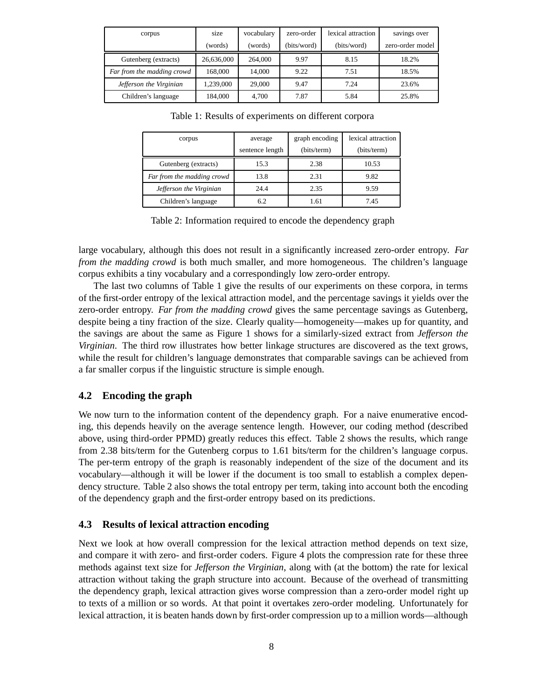| corpus                     | size       | vocabulary | zero-order  | lexical attraction | savings over     |
|----------------------------|------------|------------|-------------|--------------------|------------------|
|                            | (words)    | (words)    | (bits/word) | (bits/word)        | zero-order model |
| Gutenberg (extracts)       | 26,636,000 | 264,000    | 9.97        | 8.15               | 18.2%            |
| Far from the madding crowd | 168,000    | 14,000     | 9.22        | 7.51               | 18.5%            |
| Jefferson the Virginian    | 1,239,000  | 29,000     | 9.47        | 7.24               | 23.6%            |
| Children's language        | 184,000    | 4.700      | 7.87        | 5.84               | 25.8%            |

Table 1: Results of experiments on different corpora

| corpus                     | average<br>sentence length | graph encoding<br>(bits/term) | lexical attraction<br>(bits/term) |
|----------------------------|----------------------------|-------------------------------|-----------------------------------|
|                            |                            |                               |                                   |
| Gutenberg (extracts)       | 15.3                       | 2.38                          | 10.53                             |
| Far from the madding crowd | 13.8                       | 2.31                          | 9.82                              |
| Jefferson the Virginian    | 24.4                       | 2.35                          | 9.59                              |
| Children's language        | 62                         | 1.61                          | 7.45                              |

Table 2: Information required to encode the dependency graph

large vocabulary, although this does not result in a significantly increased zero-order entropy. *Far from the madding crowd* is both much smaller, and more homogeneous. The children's language corpus exhibits a tiny vocabulary and a correspondingly low zero-order entropy.

The last two columns of Table 1 give the results of our experiments on these corpora, in terms of the first-order entropy of the lexical attraction model, and the percentage savings it yields over the zero-order entropy. *Far from the madding crowd* gives the same percentage savings as Gutenberg, despite being a tiny fraction of the size. Clearly quality—homogeneity—makes up for quantity, and the savings are about the same as Figure 1 shows for a similarly-sized extract from *Jefferson the Virginian*. The third row illustrates how better linkage structures are discovered as the text grows, while the result for children's language demonstrates that comparable savings can be achieved from a far smaller corpus if the linguistic structure is simple enough.

### **4.2 Encoding the graph**

We now turn to the information content of the dependency graph. For a naive enumerative encoding, this depends heavily on the average sentence length. However, our coding method (described above, using third-order PPMD) greatly reduces this effect. Table 2 shows the results, which range from 2.38 bits/term for the Gutenberg corpus to 1.61 bits/term for the children's language corpus. The per-term entropy of the graph is reasonably independent of the size of the document and its vocabulary—although it will be lower if the document is too small to establish a complex dependency structure. Table 2 also shows the total entropy per term, taking into account both the encoding of the dependency graph and the first-order entropy based on its predictions.

#### **4.3 Results of lexical attraction encoding**

Next we look at how overall compression for the lexical attraction method depends on text size, and compare it with zero- and first-order coders. Figure 4 plots the compression rate for these three methods against text size for *Jefferson the Virginian*, along with (at the bottom) the rate for lexical attraction without taking the graph structure into account. Because of the overhead of transmitting the dependency graph, lexical attraction gives worse compression than a zero-order model right up to texts of a million or so words. At that point it overtakes zero-order modeling. Unfortunately for lexical attraction, it is beaten hands down by first-order compression up to a million words—although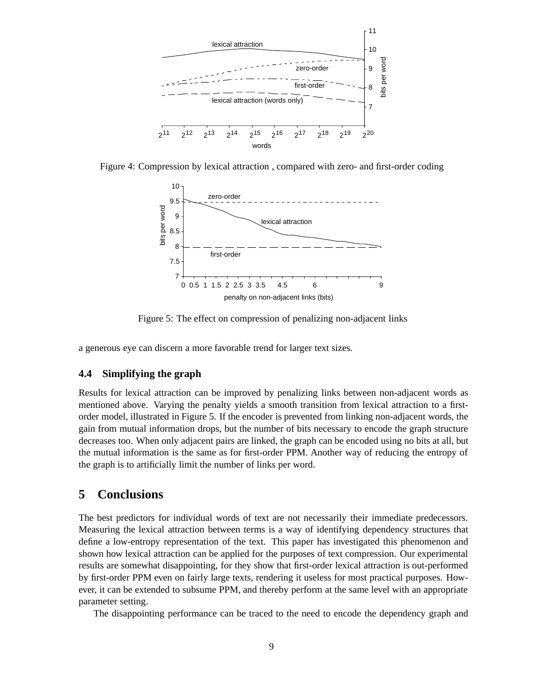

Figure 4: Compression by lexical attraction , compared with zero- and first-order coding



Figure 5: The effect on compression of penalizing non-adjacent links

a generous eye can discern a more favorable trend for larger text sizes.

#### **4.4 Simplifying the graph**

Results for lexical attraction can be improved by penalizing links between non-adjacent words as mentioned above. Varying the penalty yields a smooth transition from lexical attraction to a firstorder model, illustrated in Figure 5. If the encoder is prevented from linking non-adjacent words, the gain from mutual information drops, but the number of bits necessary to encode the graph structure decreases too. When only adjacent pairs are linked, the graph can be encoded using no bits at all, but the mutual information is the same as for first-order PPM. Another way of reducing the entropy of the graph is to artificially limit the number of links per word.

# **5 Conclusions**

The best predictors for individual words of text are not necessarily their immediate predecessors. Measuring the lexical attraction between terms is a way of identifying dependency structures that define a low-entropy representation of the text. This paper has investigated this phenomenon and shown how lexical attraction can be applied for the purposes of text compression. Our experimental results are somewhat disappointing, for they show that first-order lexical attraction is out-performed by first-order PPM even on fairly large texts, rendering it useless for most practical purposes. However, it can be extended to subsume PPM, and thereby perform at the same level with an appropriate parameter setting.

The disappointing performance can be traced to the need to encode the dependency graph and